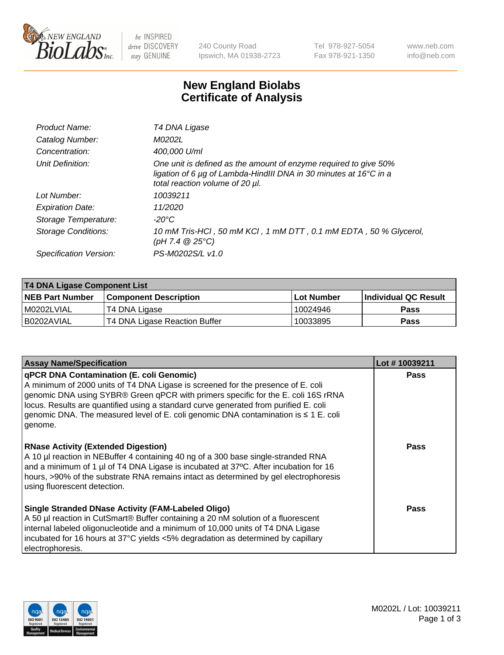

 $be$  INSPIRED drive DISCOVERY stay GENUINE

240 County Road Ipswich, MA 01938-2723 Tel 978-927-5054 Fax 978-921-1350 www.neb.com info@neb.com

## **New England Biolabs Certificate of Analysis**

| Product Name:              | T4 DNA Ligase                                                                                                                                                                           |
|----------------------------|-----------------------------------------------------------------------------------------------------------------------------------------------------------------------------------------|
| Catalog Number:            | M0202L                                                                                                                                                                                  |
| Concentration:             | 400,000 U/ml                                                                                                                                                                            |
| Unit Definition:           | One unit is defined as the amount of enzyme required to give 50%<br>ligation of 6 $\mu$ g of Lambda-HindIII DNA in 30 minutes at 16 $\degree$ C in a<br>total reaction volume of 20 µl. |
| Lot Number:                | 10039211                                                                                                                                                                                |
| <b>Expiration Date:</b>    | 11/2020                                                                                                                                                                                 |
| Storage Temperature:       | -20°C                                                                                                                                                                                   |
| <b>Storage Conditions:</b> | 10 mM Tris-HCl, 50 mM KCl, 1 mM DTT, 0.1 mM EDTA, 50 % Glycerol,<br>(pH 7.4 $@25°C$ )                                                                                                   |
| Specification Version:     | PS-M0202S/L v1.0                                                                                                                                                                        |

| T4 DNA Ligase Component List |                               |              |                             |  |  |
|------------------------------|-------------------------------|--------------|-----------------------------|--|--|
| <b>NEB Part Number</b>       | <b>Component Description</b>  | l Lot Number | <b>Individual QC Result</b> |  |  |
| M0202LVIAL                   | T4 DNA Ligase                 | 10024946     | <b>Pass</b>                 |  |  |
| I B0202AVIAL                 | T4 DNA Ligase Reaction Buffer | 10033895     | <b>Pass</b>                 |  |  |

| <b>Assay Name/Specification</b>                                                                                                                                                                                                                                                                                                                                                                                         | Lot #10039211 |
|-------------------------------------------------------------------------------------------------------------------------------------------------------------------------------------------------------------------------------------------------------------------------------------------------------------------------------------------------------------------------------------------------------------------------|---------------|
| <b>qPCR DNA Contamination (E. coli Genomic)</b><br>A minimum of 2000 units of T4 DNA Ligase is screened for the presence of E. coli<br>genomic DNA using SYBR® Green qPCR with primers specific for the E. coli 16S rRNA<br>locus. Results are quantified using a standard curve generated from purified E. coli<br>genomic DNA. The measured level of E. coli genomic DNA contamination is $\leq 1$ E. coli<br>genome. | <b>Pass</b>   |
| <b>RNase Activity (Extended Digestion)</b><br>A 10 µl reaction in NEBuffer 4 containing 40 ng of a 300 base single-stranded RNA<br>and a minimum of 1 µl of T4 DNA Ligase is incubated at 37°C. After incubation for 16<br>hours, >90% of the substrate RNA remains intact as determined by gel electrophoresis<br>using fluorescent detection.                                                                         | Pass          |
| Single Stranded DNase Activity (FAM-Labeled Oligo)<br>A 50 µl reaction in CutSmart® Buffer containing a 20 nM solution of a fluorescent<br>internal labeled oligonucleotide and a minimum of 10,000 units of T4 DNA Ligase<br>incubated for 16 hours at 37°C yields <5% degradation as determined by capillary<br>electrophoresis.                                                                                      | Pass          |

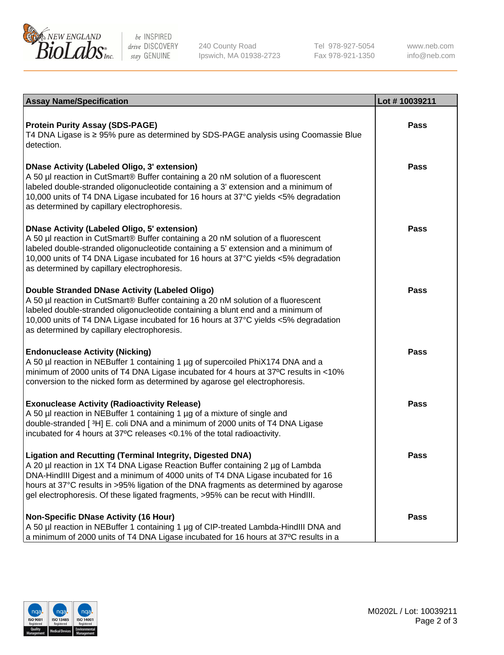

be INSPIRED drive DISCOVERY stay GENUINE

240 County Road Ipswich, MA 01938-2723 Tel 978-927-5054 Fax 978-921-1350

www.neb.com info@neb.com

| <b>Assay Name/Specification</b>                                                                                                                                                                                                                                                                                                                                                                                      | Lot #10039211 |
|----------------------------------------------------------------------------------------------------------------------------------------------------------------------------------------------------------------------------------------------------------------------------------------------------------------------------------------------------------------------------------------------------------------------|---------------|
| <b>Protein Purity Assay (SDS-PAGE)</b><br>T4 DNA Ligase is ≥ 95% pure as determined by SDS-PAGE analysis using Coomassie Blue<br>detection.                                                                                                                                                                                                                                                                          | <b>Pass</b>   |
| DNase Activity (Labeled Oligo, 3' extension)<br>A 50 µl reaction in CutSmart® Buffer containing a 20 nM solution of a fluorescent<br>labeled double-stranded oligonucleotide containing a 3' extension and a minimum of<br>10,000 units of T4 DNA Ligase incubated for 16 hours at 37°C yields <5% degradation<br>as determined by capillary electrophoresis.                                                        | <b>Pass</b>   |
| DNase Activity (Labeled Oligo, 5' extension)<br>A 50 µl reaction in CutSmart® Buffer containing a 20 nM solution of a fluorescent<br>labeled double-stranded oligonucleotide containing a 5' extension and a minimum of<br>10,000 units of T4 DNA Ligase incubated for 16 hours at 37°C yields <5% degradation<br>as determined by capillary electrophoresis.                                                        | Pass          |
| Double Stranded DNase Activity (Labeled Oligo)<br>A 50 µl reaction in CutSmart® Buffer containing a 20 nM solution of a fluorescent<br>labeled double-stranded oligonucleotide containing a blunt end and a minimum of<br>10,000 units of T4 DNA Ligase incubated for 16 hours at 37°C yields <5% degradation<br>as determined by capillary electrophoresis.                                                         | Pass          |
| <b>Endonuclease Activity (Nicking)</b><br>A 50 µl reaction in NEBuffer 1 containing 1 µg of supercoiled PhiX174 DNA and a<br>minimum of 2000 units of T4 DNA Ligase incubated for 4 hours at 37°C results in <10%<br>conversion to the nicked form as determined by agarose gel electrophoresis.                                                                                                                     | <b>Pass</b>   |
| <b>Exonuclease Activity (Radioactivity Release)</b><br>A 50 µl reaction in NEBuffer 1 containing 1 µg of a mixture of single and<br>double-stranded [3H] E. coli DNA and a minimum of 2000 units of T4 DNA Ligase<br>incubated for 4 hours at 37°C releases <0.1% of the total radioactivity.                                                                                                                        | Pass          |
| <b>Ligation and Recutting (Terminal Integrity, Digested DNA)</b><br>  A 20 µl reaction in 1X T4 DNA Ligase Reaction Buffer containing 2 µg of Lambda<br>DNA-HindIII Digest and a minimum of 4000 units of T4 DNA Ligase incubated for 16<br>hours at 37°C results in >95% ligation of the DNA fragments as determined by agarose<br>gel electrophoresis. Of these ligated fragments, >95% can be recut with HindIII. | Pass          |
| Non-Specific DNase Activity (16 Hour)<br>A 50 µl reaction in NEBuffer 1 containing 1 µg of CIP-treated Lambda-HindIII DNA and<br>$\vert$ a minimum of 2000 units of T4 DNA Ligase incubated for 16 hours at 37°C results in a                                                                                                                                                                                        | <b>Pass</b>   |